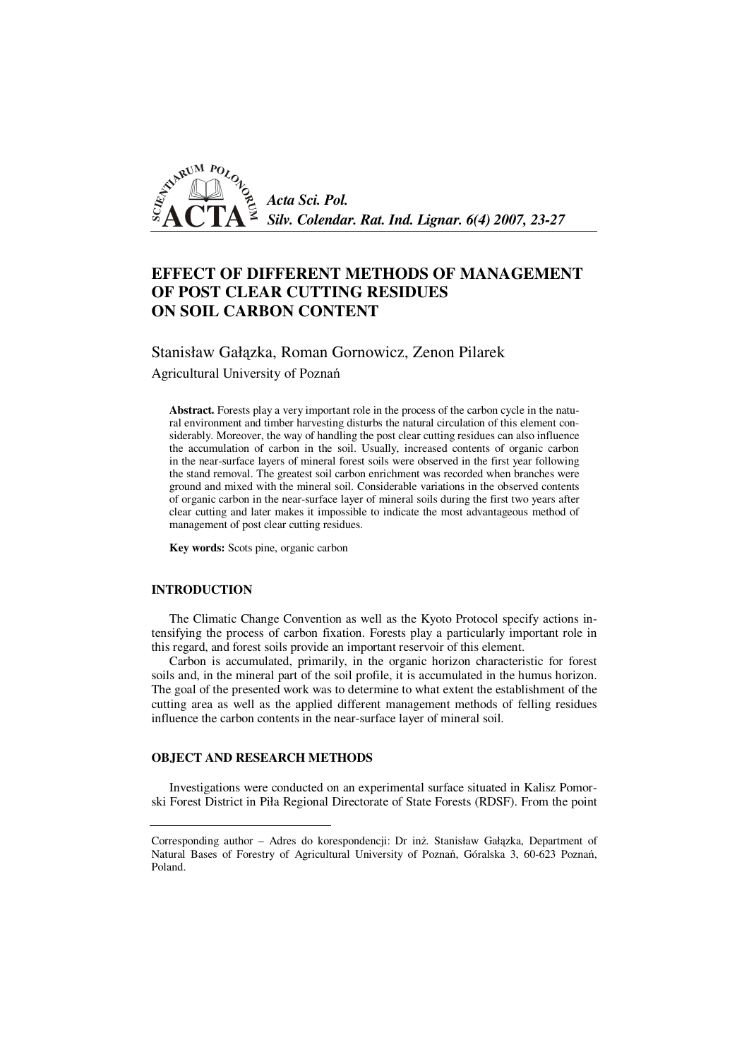

# **EFFECT OF DIFFERENT METHODS OF MANAGEMENT OF POST CLEAR CUTTING RESIDUES ON SOIL CARBON CONTENT**

Stanisław Gałązka, Roman Gornowicz, Zenon Pilarek

Agricultural University of Poznań

**Abstract.** Forests play a very important role in the process of the carbon cycle in the natural environment and timber harvesting disturbs the natural circulation of this element considerably. Moreover, the way of handling the post clear cutting residues can also influence the accumulation of carbon in the soil. Usually, increased contents of organic carbon in the near-surface layers of mineral forest soils were observed in the first year following the stand removal. The greatest soil carbon enrichment was recorded when branches were ground and mixed with the mineral soil. Considerable variations in the observed contents of organic carbon in the near-surface layer of mineral soils during the first two years after clear cutting and later makes it impossible to indicate the most advantageous method of management of post clear cutting residues.

**Key words:** Scots pine, organic carbon

### **INTRODUCTION**

The Climatic Change Convention as well as the Kyoto Protocol specify actions intensifying the process of carbon fixation. Forests play a particularly important role in this regard, and forest soils provide an important reservoir of this element.

Carbon is accumulated, primarily, in the organic horizon characteristic for forest soils and, in the mineral part of the soil profile, it is accumulated in the humus horizon. The goal of the presented work was to determine to what extent the establishment of the cutting area as well as the applied different management methods of felling residues influence the carbon contents in the near-surface layer of mineral soil.

#### **OBJECT AND RESEARCH METHODS**

Investigations were conducted on an experimental surface situated in Kalisz Pomorski Forest District in Piła Regional Directorate of State Forests (RDSF). From the point

Corresponding author – Adres do korespondencji: Dr inż. Stanisław Gałązka, Department of Natural Bases of Forestry of Agricultural University of Poznań, Góralska 3, 60-623 Poznań, Poland.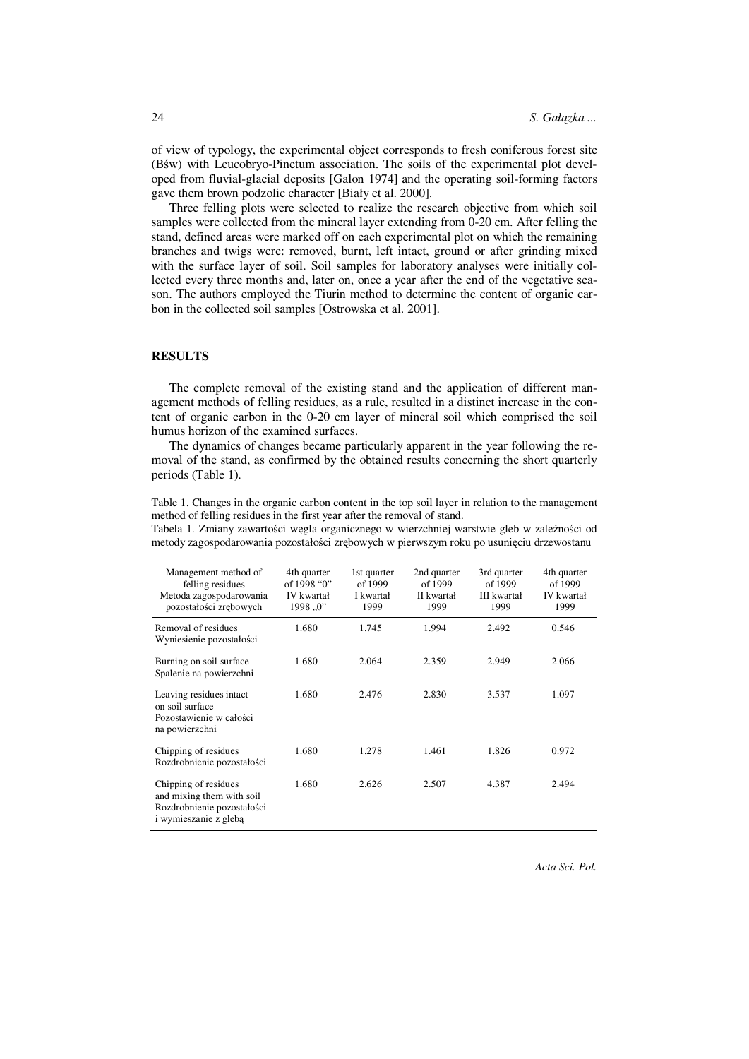of view of typology, the experimental object corresponds to fresh coniferous forest site (Bśw) with Leucobryo-Pinetum association. The soils of the experimental plot developed from fluvial-glacial deposits [Galon 1974] and the operating soil-forming factors gave them brown podzolic character [Biały et al. 2000].

Three felling plots were selected to realize the research objective from which soil samples were collected from the mineral layer extending from 0-20 cm. After felling the stand, defined areas were marked off on each experimental plot on which the remaining branches and twigs were: removed, burnt, left intact, ground or after grinding mixed with the surface layer of soil. Soil samples for laboratory analyses were initially collected every three months and, later on, once a year after the end of the vegetative season. The authors employed the Tiurin method to determine the content of organic carbon in the collected soil samples [Ostrowska et al. 2001].

#### **RESULTS**

The complete removal of the existing stand and the application of different management methods of felling residues, as a rule, resulted in a distinct increase in the content of organic carbon in the 0-20 cm layer of mineral soil which comprised the soil humus horizon of the examined surfaces.

The dynamics of changes became particularly apparent in the year following the removal of the stand, as confirmed by the obtained results concerning the short quarterly periods (Table 1).

Table 1. Changes in the organic carbon content in the top soil layer in relation to the management method of felling residues in the first year after the removal of stand.

Tabela 1. Zmiany zawartości węgla organicznego w wierzchniej warstwie gleb w zależności od metody zagospodarowania pozostałości zrębowych w pierwszym roku po usunięciu drzewostanu

| Management method of<br>felling residues<br>Metoda zagospodarowania<br>pozostałości zrębowych            | 4th quarter<br>of 1998 "0"<br>IV kwartał<br>1998, 0 | 1st quarter<br>of 1999<br>I kwartał<br>1999 | 2nd quarter<br>of 1999<br>II kwartał<br>1999 | 3rd quarter<br>of 1999<br><b>III</b> kwartał<br>1999 | 4th quarter<br>of 1999<br><b>IV</b> kwartał<br>1999 |
|----------------------------------------------------------------------------------------------------------|-----------------------------------------------------|---------------------------------------------|----------------------------------------------|------------------------------------------------------|-----------------------------------------------------|
| Removal of residues<br>Wyniesienie pozostałości                                                          | 1.680                                               | 1.745                                       | 1.994                                        | 2.492                                                | 0.546                                               |
| Burning on soil surface<br>Spalenie na powierzchni                                                       | 1.680                                               | 2.064                                       | 2.359                                        | 2.949                                                | 2.066                                               |
| Leaving residues intact<br>on soil surface<br>Pozostawienie w całości<br>na powierzchni                  | 1.680                                               | 2.476                                       | 2.830                                        | 3.537                                                | 1.097                                               |
| Chipping of residues<br>Rozdrobnienie pozostałości                                                       | 1.680                                               | 1.278                                       | 1.461                                        | 1.826                                                | 0.972                                               |
| Chipping of residues<br>and mixing them with soil<br>Rozdrobnienie pozostałości<br>i wymieszanie z glebą | 1.680                                               | 2.626                                       | 2.507                                        | 4.387                                                | 2.494                                               |

24

*Acta Sci. Pol.*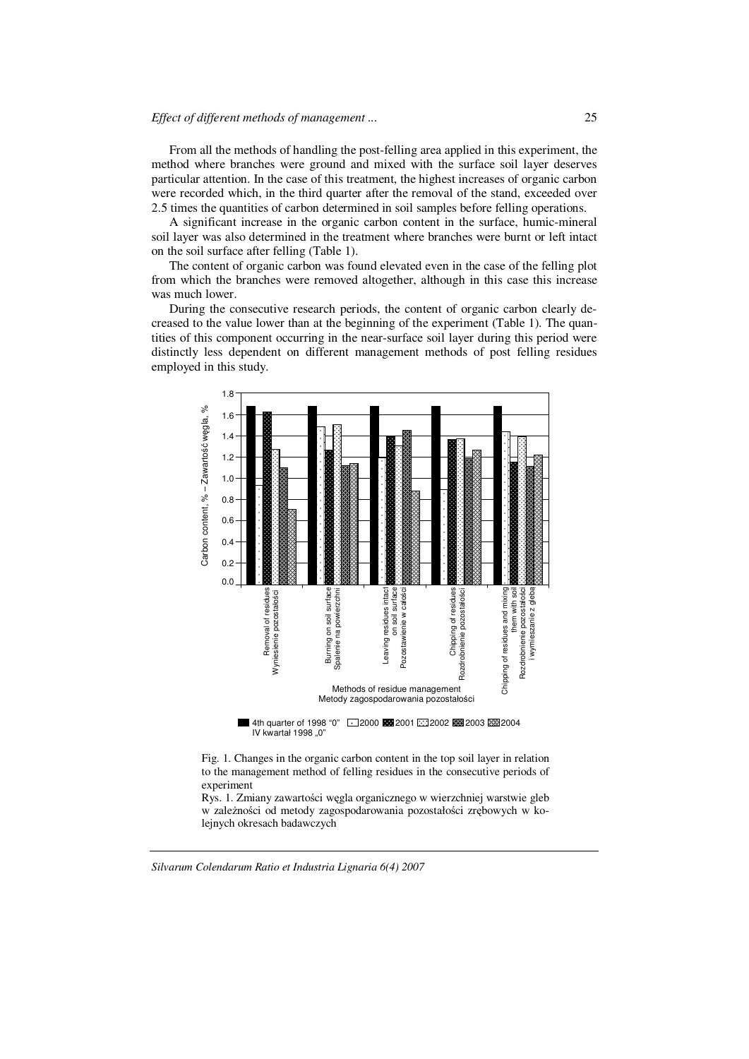#### *Effect of different methods of management ...*

From all the methods of handling the post-felling area applied in this experiment, the method where branches were ground and mixed with the surface soil layer deserves particular attention. In the case of this treatment, the highest increases of organic carbon were recorded which, in the third quarter after the removal of the stand, exceeded over 2.5 times the quantities of carbon determined in soil samples before felling operations.

A significant increase in the organic carbon content in the surface, humic-mineral soil layer was also determined in the treatment where branches were burnt or left intact on the soil surface after felling (Table 1).

The content of organic carbon was found elevated even in the case of the felling plot from which the branches were removed altogether, although in this case this increase was much lower.

During the consecutive research periods, the content of organic carbon clearly decreased to the value lower than at the beginning of the experiment (Table 1). The quantities of this component occurring in the near-surface soil layer during this period were distinctly less dependent on different management methods of post felling residues employed in this study.



Fig. 1. Changes in the organic carbon content in the top soil layer in relation to the management method of felling residues in the consecutive periods of experiment

Rys. 1. Zmiany zawartości węgla organicznego w wierzchniej warstwie gleb w zależności od metody zagospodarowania pozostałości zrębowych w kolejnych okresach badawczych

*Silvarum Colendarum Ratio et Industria Lignaria 6(4) 2007*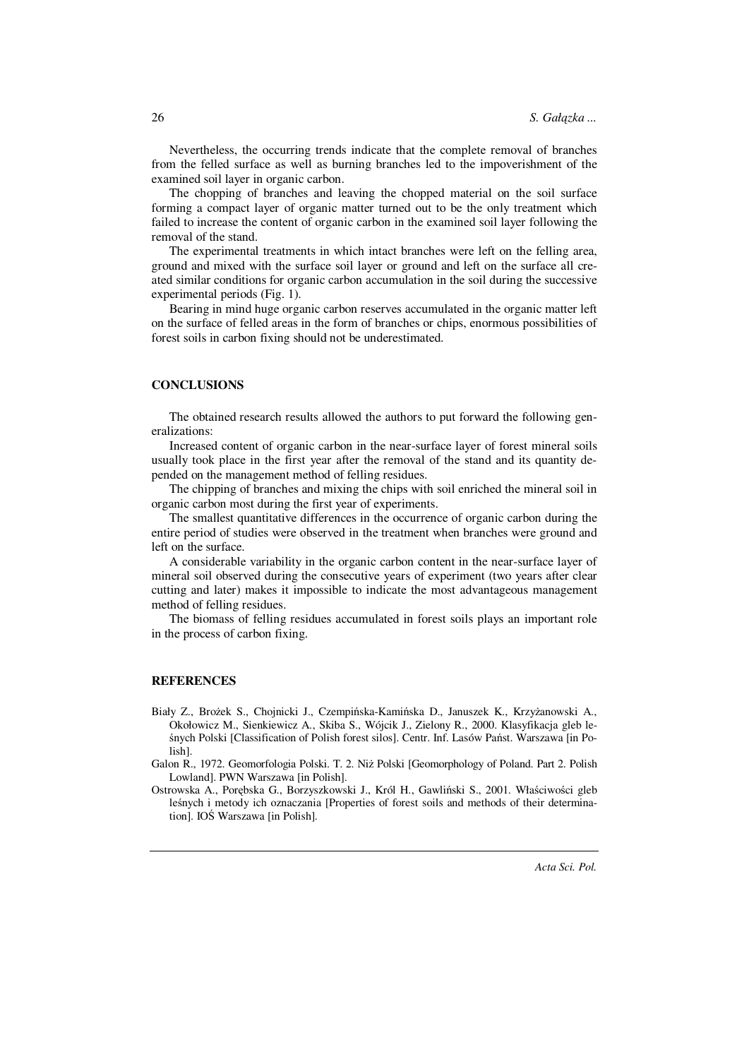Nevertheless, the occurring trends indicate that the complete removal of branches from the felled surface as well as burning branches led to the impoverishment of the examined soil layer in organic carbon.

The chopping of branches and leaving the chopped material on the soil surface forming a compact layer of organic matter turned out to be the only treatment which failed to increase the content of organic carbon in the examined soil layer following the removal of the stand.

The experimental treatments in which intact branches were left on the felling area, ground and mixed with the surface soil layer or ground and left on the surface all created similar conditions for organic carbon accumulation in the soil during the successive experimental periods (Fig. 1).

Bearing in mind huge organic carbon reserves accumulated in the organic matter left on the surface of felled areas in the form of branches or chips, enormous possibilities of forest soils in carbon fixing should not be underestimated.

#### **CONCLUSIONS**

The obtained research results allowed the authors to put forward the following generalizations:

Increased content of organic carbon in the near-surface layer of forest mineral soils usually took place in the first year after the removal of the stand and its quantity depended on the management method of felling residues.

The chipping of branches and mixing the chips with soil enriched the mineral soil in organic carbon most during the first year of experiments.

The smallest quantitative differences in the occurrence of organic carbon during the entire period of studies were observed in the treatment when branches were ground and left on the surface.

A considerable variability in the organic carbon content in the near-surface layer of mineral soil observed during the consecutive years of experiment (two years after clear cutting and later) makes it impossible to indicate the most advantageous management method of felling residues.

The biomass of felling residues accumulated in forest soils plays an important role in the process of carbon fixing.

#### **REFERENCES**

Biały Z., Brożek S., Chojnicki J., Czempińska-Kamińska D., Januszek K., Krzyżanowski A., Okołowicz M., Sienkiewicz A., Skiba S., Wójcik J., Zielony R., 2000. Klasyfikacja gleb leśnych Polski [Classification of Polish forest silos]. Centr. Inf. Lasów Państ. Warszawa [in Polish].

Galon R., 1972. Geomorfologia Polski. T. 2. Niż Polski [Geomorphology of Poland. Part 2. Polish Lowland]. PWN Warszawa [in Polish].

Ostrowska A., Porębska G., Borzyszkowski J., Król H., Gawliński S., 2001. Właściwości gleb leśnych i metody ich oznaczania [Properties of forest soils and methods of their determination]. IOŚ Warszawa [in Polish].